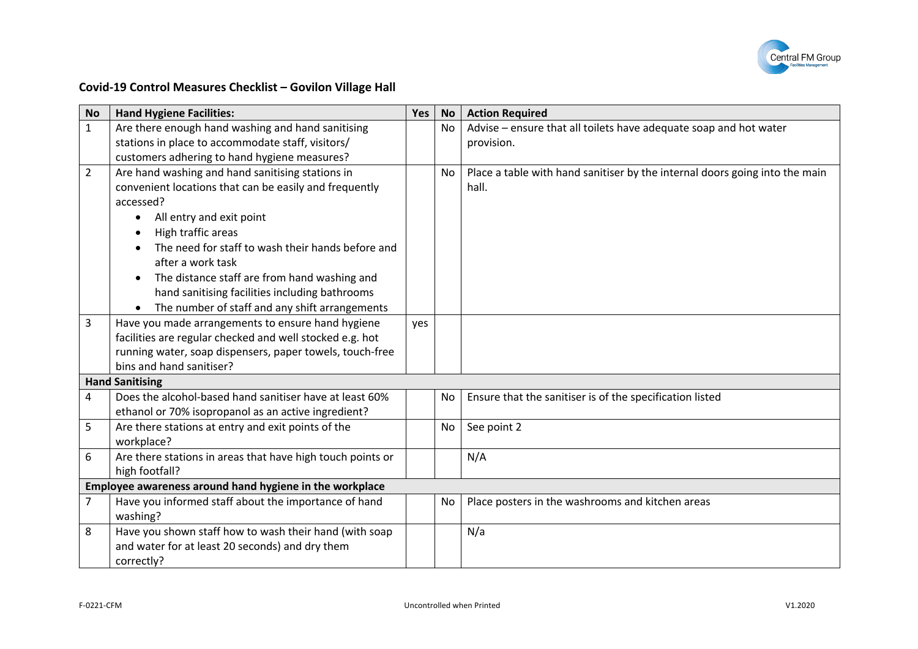

## **Covid-19 Control Measures Checklist – Govilon Village Hall**

| <b>No</b>              | <b>Hand Hygiene Facilities:</b>                            | Yes        | <b>No</b> | <b>Action Required</b>                                                      |  |
|------------------------|------------------------------------------------------------|------------|-----------|-----------------------------------------------------------------------------|--|
| $\mathbf{1}$           | Are there enough hand washing and hand sanitising          |            | No        | Advise - ensure that all toilets have adequate soap and hot water           |  |
|                        | stations in place to accommodate staff, visitors/          |            |           | provision.                                                                  |  |
|                        | customers adhering to hand hygiene measures?               |            |           |                                                                             |  |
| $\overline{2}$         | Are hand washing and hand sanitising stations in           |            | No        | Place a table with hand sanitiser by the internal doors going into the main |  |
|                        | convenient locations that can be easily and frequently     |            |           | hall.                                                                       |  |
|                        | accessed?                                                  |            |           |                                                                             |  |
|                        | All entry and exit point                                   |            |           |                                                                             |  |
|                        | High traffic areas                                         |            |           |                                                                             |  |
|                        | The need for staff to wash their hands before and          |            |           |                                                                             |  |
|                        | after a work task                                          |            |           |                                                                             |  |
|                        | The distance staff are from hand washing and               |            |           |                                                                             |  |
|                        | hand sanitising facilities including bathrooms             |            |           |                                                                             |  |
|                        | The number of staff and any shift arrangements             |            |           |                                                                             |  |
| 3                      | Have you made arrangements to ensure hand hygiene          | <b>ves</b> |           |                                                                             |  |
|                        | facilities are regular checked and well stocked e.g. hot   |            |           |                                                                             |  |
|                        | running water, soap dispensers, paper towels, touch-free   |            |           |                                                                             |  |
|                        | bins and hand sanitiser?                                   |            |           |                                                                             |  |
| <b>Hand Sanitising</b> |                                                            |            |           |                                                                             |  |
| 4                      | Does the alcohol-based hand sanitiser have at least 60%    |            | No        | Ensure that the sanitiser is of the specification listed                    |  |
|                        | ethanol or 70% isopropanol as an active ingredient?        |            |           |                                                                             |  |
| 5                      | Are there stations at entry and exit points of the         |            | No        | See point 2                                                                 |  |
|                        | workplace?                                                 |            |           |                                                                             |  |
| 6                      | Are there stations in areas that have high touch points or |            |           | N/A                                                                         |  |
|                        | high footfall?                                             |            |           |                                                                             |  |
|                        | Employee awareness around hand hygiene in the workplace    |            |           |                                                                             |  |
| $\overline{7}$         | Have you informed staff about the importance of hand       |            | No        | Place posters in the washrooms and kitchen areas                            |  |
|                        | washing?                                                   |            |           |                                                                             |  |
| 8                      | Have you shown staff how to wash their hand (with soap     |            |           | N/a                                                                         |  |
|                        | and water for at least 20 seconds) and dry them            |            |           |                                                                             |  |
|                        | correctly?                                                 |            |           |                                                                             |  |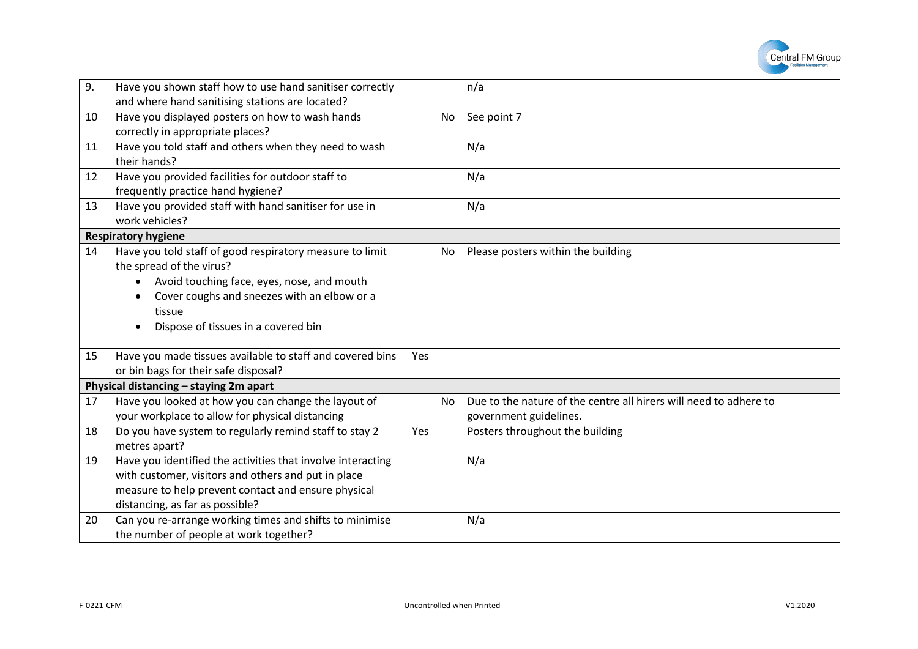

| 9. | Have you shown staff how to use hand sanitiser correctly    |     |    | n/a                                                               |
|----|-------------------------------------------------------------|-----|----|-------------------------------------------------------------------|
|    | and where hand sanitising stations are located?             |     |    |                                                                   |
| 10 | Have you displayed posters on how to wash hands             |     | No | See point 7                                                       |
|    | correctly in appropriate places?                            |     |    |                                                                   |
| 11 | Have you told staff and others when they need to wash       |     |    | N/a                                                               |
|    | their hands?                                                |     |    |                                                                   |
| 12 | Have you provided facilities for outdoor staff to           |     |    | N/a                                                               |
|    | frequently practice hand hygiene?                           |     |    |                                                                   |
| 13 | Have you provided staff with hand sanitiser for use in      |     |    | N/a                                                               |
|    | work vehicles?                                              |     |    |                                                                   |
|    | <b>Respiratory hygiene</b>                                  |     |    |                                                                   |
| 14 | Have you told staff of good respiratory measure to limit    |     | No | Please posters within the building                                |
|    | the spread of the virus?                                    |     |    |                                                                   |
|    | Avoid touching face, eyes, nose, and mouth                  |     |    |                                                                   |
|    | Cover coughs and sneezes with an elbow or a                 |     |    |                                                                   |
|    | tissue                                                      |     |    |                                                                   |
|    | Dispose of tissues in a covered bin                         |     |    |                                                                   |
|    |                                                             |     |    |                                                                   |
| 15 | Have you made tissues available to staff and covered bins   | Yes |    |                                                                   |
|    | or bin bags for their safe disposal?                        |     |    |                                                                   |
|    | Physical distancing - staying 2m apart                      |     |    |                                                                   |
| 17 | Have you looked at how you can change the layout of         |     | No | Due to the nature of the centre all hirers will need to adhere to |
|    | your workplace to allow for physical distancing             |     |    | government guidelines.                                            |
| 18 | Do you have system to regularly remind staff to stay 2      | Yes |    | Posters throughout the building                                   |
|    | metres apart?                                               |     |    |                                                                   |
| 19 | Have you identified the activities that involve interacting |     |    | N/a                                                               |
|    | with customer, visitors and others and put in place         |     |    |                                                                   |
|    | measure to help prevent contact and ensure physical         |     |    |                                                                   |
|    | distancing, as far as possible?                             |     |    |                                                                   |
| 20 | Can you re-arrange working times and shifts to minimise     |     |    | N/a                                                               |
|    | the number of people at work together?                      |     |    |                                                                   |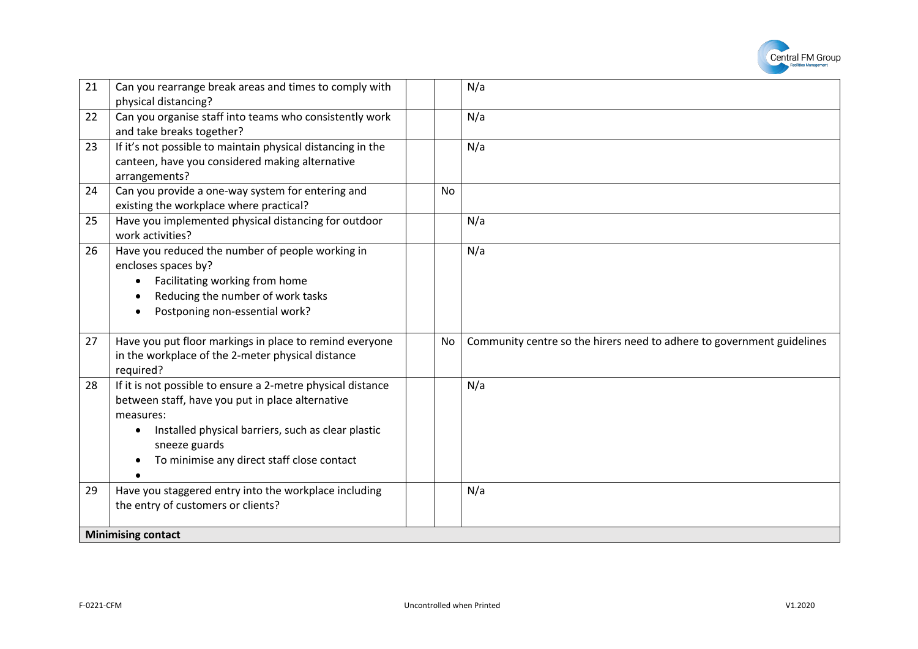

| 21<br>physical distancing? | Can you rearrange break areas and times to comply with                                                                                                                                                                               |           | N/a                                                                    |
|----------------------------|--------------------------------------------------------------------------------------------------------------------------------------------------------------------------------------------------------------------------------------|-----------|------------------------------------------------------------------------|
| 22                         | Can you organise staff into teams who consistently work<br>and take breaks together?                                                                                                                                                 |           | N/a                                                                    |
| 23<br>arrangements?        | If it's not possible to maintain physical distancing in the<br>canteen, have you considered making alternative                                                                                                                       |           | N/a                                                                    |
| 24                         | Can you provide a one-way system for entering and<br>existing the workplace where practical?                                                                                                                                         | <b>No</b> |                                                                        |
| 25<br>work activities?     | Have you implemented physical distancing for outdoor                                                                                                                                                                                 |           | N/a                                                                    |
| 26<br>encloses spaces by?  | Have you reduced the number of people working in<br>Facilitating working from home<br>Reducing the number of work tasks<br>Postponing non-essential work?                                                                            |           | N/a                                                                    |
| 27<br>required?            | Have you put floor markings in place to remind everyone<br>in the workplace of the 2-meter physical distance                                                                                                                         | No        | Community centre so the hirers need to adhere to government guidelines |
| 28<br>measures:            | If it is not possible to ensure a 2-metre physical distance<br>between staff, have you put in place alternative<br>Installed physical barriers, such as clear plastic<br>sneeze guards<br>To minimise any direct staff close contact |           | N/a                                                                    |
| 29                         | Have you staggered entry into the workplace including<br>the entry of customers or clients?                                                                                                                                          |           | N/a                                                                    |
| <b>Minimising contact</b>  |                                                                                                                                                                                                                                      |           |                                                                        |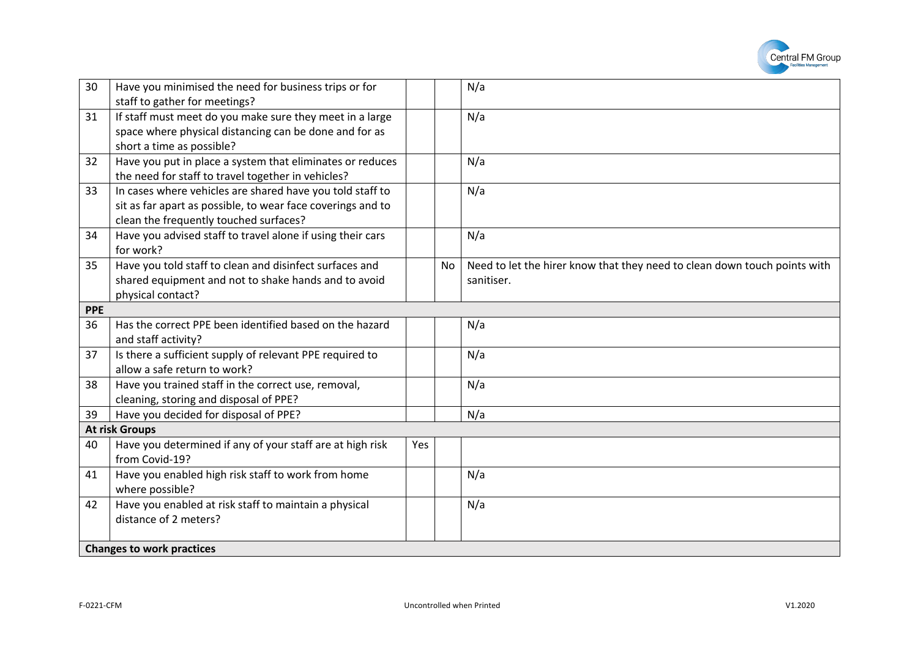

| 30         | Have you minimised the need for business trips or for<br>staff to gather for meetings?                                                                             |     |    | N/a                                                                                     |
|------------|--------------------------------------------------------------------------------------------------------------------------------------------------------------------|-----|----|-----------------------------------------------------------------------------------------|
| 31         | If staff must meet do you make sure they meet in a large<br>space where physical distancing can be done and for as<br>short a time as possible?                    |     |    | N/a                                                                                     |
| 32         | Have you put in place a system that eliminates or reduces<br>the need for staff to travel together in vehicles?                                                    |     |    | N/a                                                                                     |
| 33         | In cases where vehicles are shared have you told staff to<br>sit as far apart as possible, to wear face coverings and to<br>clean the frequently touched surfaces? |     |    | N/a                                                                                     |
| 34         | Have you advised staff to travel alone if using their cars<br>for work?                                                                                            |     |    | N/a                                                                                     |
| 35         | Have you told staff to clean and disinfect surfaces and<br>shared equipment and not to shake hands and to avoid<br>physical contact?                               |     | No | Need to let the hirer know that they need to clean down touch points with<br>sanitiser. |
| <b>PPE</b> |                                                                                                                                                                    |     |    |                                                                                         |
| 36         | Has the correct PPE been identified based on the hazard<br>and staff activity?                                                                                     |     |    | N/a                                                                                     |
| 37         | Is there a sufficient supply of relevant PPE required to<br>allow a safe return to work?                                                                           |     |    | N/a                                                                                     |
| 38         | Have you trained staff in the correct use, removal,<br>cleaning, storing and disposal of PPE?                                                                      |     |    | N/a                                                                                     |
| 39         | Have you decided for disposal of PPE?                                                                                                                              |     |    | N/a                                                                                     |
|            | <b>At risk Groups</b>                                                                                                                                              |     |    |                                                                                         |
| 40         | Have you determined if any of your staff are at high risk<br>from Covid-19?                                                                                        | Yes |    |                                                                                         |
| 41         | Have you enabled high risk staff to work from home<br>where possible?                                                                                              |     |    | N/a                                                                                     |
| 42         | Have you enabled at risk staff to maintain a physical<br>distance of 2 meters?                                                                                     |     |    | N/a                                                                                     |
|            | <b>Changes to work practices</b>                                                                                                                                   |     |    |                                                                                         |